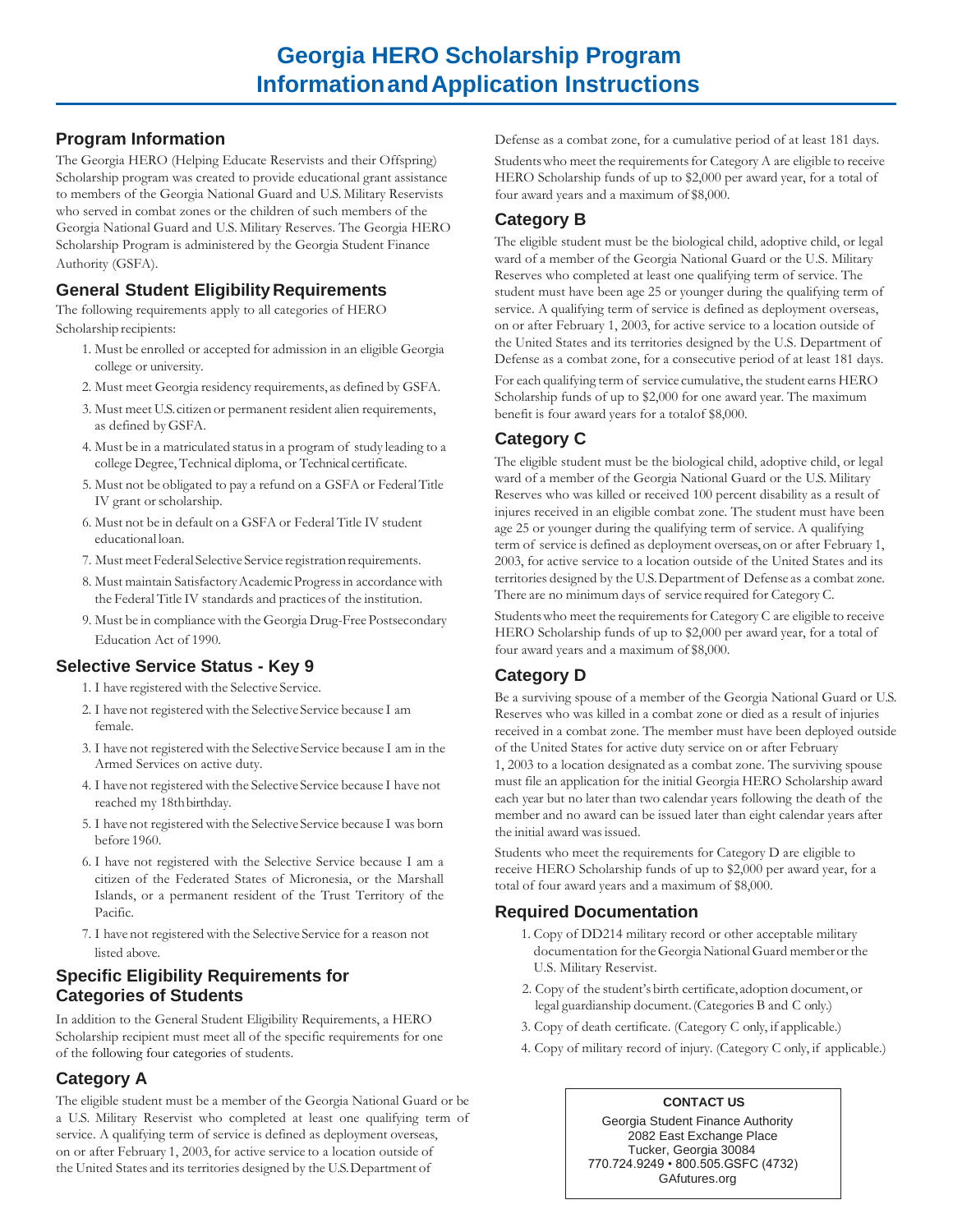#### **Program Information**

The Georgia HERO (Helping Educate Reservists and their Offspring) Scholarship program was created to provide educational grant assistance to members of the Georgia National Guard and U.S. Military Reservists who served in combat zones or the children of such members of the Georgia National Guard and U.S. Military Reserves. The Georgia HERO Scholarship Program is administered by the Georgia Student Finance Authority (GSFA).

# **General Student Eligibility Requirements**

The following requirements apply to all categories of HERO Scholarship recipients:

- 1. Must be enrolled or accepted for admission in an eligible Georgia college or university.
- 2. Must meet Georgia residency requirements, as defined by GSFA.
- 3. Must meet U.S.citizen or permanent resident alien requirements, as defined byGSFA.
- 4. Must be in a matriculated statusin a program of study leading to a college Degree, Technical diploma, or Technical certificate.
- 5. Must not be obligated to pay a refund on a GSFA or FederalTitle IV grant or scholarship.
- 6. Must not be in default on a GSFA or Federal Title IV student educational loan.
- 7. Must meet Federal Selective Service registration requirements.
- 8. Must maintain Satisfactory Academic Progress in accordance with the Federal Title IV standards and practices of the institution.
- 9. Must be in compliancewith the Georgia Drug-FreePostsecondary Education Act of 1990.

#### **Selective Service Status - Key 9**

- 1. I have registered with the Selective Service.
- 2. I have not registered with the Selective Service because I am female.
- 3. I have not registered with the Selective Service because I am in the Armed Services on active duty.
- 4. I have not registered with the Selective Service because I have not reached my 18th birthday.
- 5. I have not registered with the Selective Service because I was born before 1960.
- 6. I have not registered with the Selective Service because I am a citizen of the Federated States of Micronesia, or the Marshall Islands, or a permanent resident of the Trust Territory of the Pacific.
- 7. I have not registered with the Selective Service for a reason not listed above.

#### **Specific Eligibility Requirements for Categories of Students**

In addition to the General Student Eligibility Requirements, a HERO Scholarship recipient must meet all of the specific requirements for one of the following four categories of students.

#### **Category A**

The eligible student must be a member of the Georgia National Guard or be a U.S. Military Reservist who completed at least one qualifying term of service. A qualifying term of service is defined as deployment overseas, on or after February 1, 2003, for active service to a location outside of the United States and its territories designed by the U.S. Department of

Defense as a combat zone, for a cumulative period of at least 181 days. Students who meet the requirements for Category A are eligible to receive HERO Scholarship funds of up to \$2,000 per award year, for a total of four award years and a maximum of \$8,000.

# **Category B**

The eligible student must be the biological child, adoptive child, or legal ward of a member of the Georgia National Guard or the U.S. Military Reserves who completed at least one qualifying term of service. The student must have been age 25 or younger during the qualifying term of service. A qualifying term of service is defined as deployment overseas, on or after February 1, 2003, for active service to a location outside of the United States and its territories designed by the U.S. Department of Defense as a combat zone, for a consecutive period of at least 181 days.

For each qualifying term of service cumulative, the student earns HERO Scholarship funds of up to \$2,000 for one award year. The maximum benefit is four award years for a totalof \$8,000.

# **Category C**

The eligible student must be the biological child, adoptive child, or legal ward of a member of the Georgia National Guard or the U.S. Military Reserves who was killed or received 100 percent disability as a result of injures received in an eligible combat zone. The student must have been age 25 or younger during the qualifying term of service. A qualifying term of service is defined as deployment overseas, on or after February 1, 2003, for active service to a location outside of the United States and its territories designed by the U.S.Department of Defense as a combat zone. There are no minimum days of service required for Category C.

Students who meet the requirements for Category C are eligible to receive HERO Scholarship funds of up to \$2,000 per award year, for a total of four award years and a maximum of \$8,000.

# **Category D**

Be a surviving spouse of a member of the Georgia National Guard or U.S. Reserves who was killed in a combat zone or died as a result of injuries received in a combat zone. The member must have been deployed outside of the United States for active duty service on or after February 1, 2003 to a location designated as a combat zone. The surviving spouse must file an application for the initial Georgia HERO Scholarship award each year but no later than two calendar years following the death of the member and no award can be issued later than eight calendar years after the initial award was issued.

Students who meet the requirements for Category D are eligible to receive HERO Scholarship funds of up to \$2,000 per award year, for a total of four award years and a maximum of \$8,000.

# **Required Documentation**

- 1. Copy of DD214 military record or other acceptable military documentation for theGeorgiaNationalGuard memberor the U.S. Military Reservist.
- 2. Copy of the student's birth certificate, adoption document, or legal guardianship document.(Categories B and C only.)
- 3. Copy of death certificate. (Category C only, if applicable.)
- 4. Copy of military record of injury. (Category C only, if applicable.)

#### **CONTACT US**

Georgia Student Finance Authority 2082 East Exchange Place Tucker, Georgia 30084 770.724.9249 • 800.505.GSFC (4732) GAfutures.org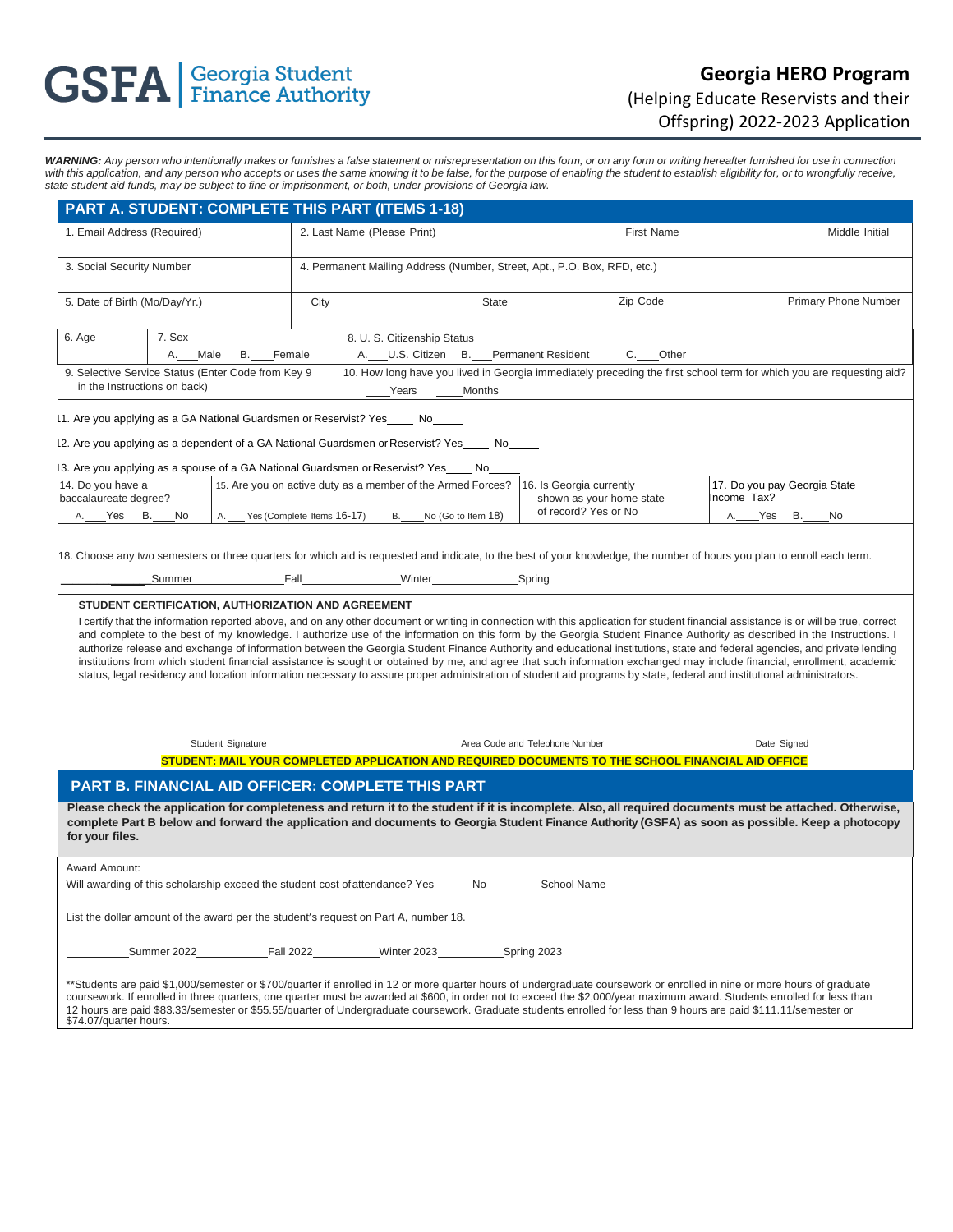# **GSFA** | Georgia Student

# **Georgia HERO Program**  (Helping Educate Reservists and their Offspring) 2022-2023 Application

WARNING: Any person who intentionally makes or furnishes a false statement or misrepresentation on this form, or on any form or writing hereafter furnished for use in connection with this application, and any person who accepts or uses the same knowing it to be false, for the purpose of enabling the student to establish eligibility for, or to wrongfully receive, *state student aid funds, may be subject to fine or imprisonment, or both, under provisions of Georgia law.*

| PART A. STUDENT: COMPLETE THIS PART (ITEMS 1-18)                                                                                                                                                                                                                                                                                                                                                                                                                                                                                                                                                                                                                                                                                                                                                                                                                                                 |                                                                          |                               |                                                             |                                                                                                                                                |                                                                                      |                       |                                                                              |  |                                             |    |                             |  |  |
|--------------------------------------------------------------------------------------------------------------------------------------------------------------------------------------------------------------------------------------------------------------------------------------------------------------------------------------------------------------------------------------------------------------------------------------------------------------------------------------------------------------------------------------------------------------------------------------------------------------------------------------------------------------------------------------------------------------------------------------------------------------------------------------------------------------------------------------------------------------------------------------------------|--------------------------------------------------------------------------|-------------------------------|-------------------------------------------------------------|------------------------------------------------------------------------------------------------------------------------------------------------|--------------------------------------------------------------------------------------|-----------------------|------------------------------------------------------------------------------|--|---------------------------------------------|----|-----------------------------|--|--|
| 1. Email Address (Required)                                                                                                                                                                                                                                                                                                                                                                                                                                                                                                                                                                                                                                                                                                                                                                                                                                                                      |                                                                          |                               | 2. Last Name (Please Print)                                 |                                                                                                                                                |                                                                                      |                       | First Name                                                                   |  |                                             |    | Middle Initial              |  |  |
| 3. Social Security Number                                                                                                                                                                                                                                                                                                                                                                                                                                                                                                                                                                                                                                                                                                                                                                                                                                                                        | 4. Permanent Mailing Address (Number, Street, Apt., P.O. Box, RFD, etc.) |                               |                                                             |                                                                                                                                                |                                                                                      |                       |                                                                              |  |                                             |    |                             |  |  |
| 5. Date of Birth (Mo/Day/Yr.)                                                                                                                                                                                                                                                                                                                                                                                                                                                                                                                                                                                                                                                                                                                                                                                                                                                                    |                                                                          |                               | City<br><b>State</b>                                        |                                                                                                                                                |                                                                                      |                       | Zip Code                                                                     |  |                                             |    | <b>Primary Phone Number</b> |  |  |
| 6. Age                                                                                                                                                                                                                                                                                                                                                                                                                                                                                                                                                                                                                                                                                                                                                                                                                                                                                           | 7. Sex<br>_Male<br>В.<br>Female                                          |                               |                                                             |                                                                                                                                                | 8. U. S. Citizenship Status<br>A. U.S. Citizen B. Permanent Resident<br>_Other<br>C. |                       |                                                                              |  |                                             |    |                             |  |  |
| 9. Selective Service Status (Enter Code from Key 9<br>in the Instructions on back)                                                                                                                                                                                                                                                                                                                                                                                                                                                                                                                                                                                                                                                                                                                                                                                                               |                                                                          |                               |                                                             | 10. How long have you lived in Georgia immediately preceding the first school term for which you are requesting aid?<br><b>Months</b><br>Years |                                                                                      |                       |                                                                              |  |                                             |    |                             |  |  |
| 1. Are you applying as a GA National Guardsmen or Reservist? Yes No                                                                                                                                                                                                                                                                                                                                                                                                                                                                                                                                                                                                                                                                                                                                                                                                                              |                                                                          |                               |                                                             |                                                                                                                                                |                                                                                      |                       |                                                                              |  |                                             |    |                             |  |  |
| 12. Are you applying as a dependent of a GA National Guardsmen or Reservist? Yes____ No____<br>I3. Are you applying as a spouse of a GA National Guardsmen orReservist? Yes____No_                                                                                                                                                                                                                                                                                                                                                                                                                                                                                                                                                                                                                                                                                                               |                                                                          |                               |                                                             |                                                                                                                                                |                                                                                      |                       |                                                                              |  |                                             |    |                             |  |  |
| 14. Do you have a<br>baccalaureate degree?                                                                                                                                                                                                                                                                                                                                                                                                                                                                                                                                                                                                                                                                                                                                                                                                                                                       |                                                                          |                               | 15. Are you on active duty as a member of the Armed Forces? |                                                                                                                                                |                                                                                      |                       | 16. Is Georgia currently<br>shown as your home state<br>of record? Yes or No |  | 17. Do you pay Georgia State<br>Income Tax? |    |                             |  |  |
| A. Yes B. No                                                                                                                                                                                                                                                                                                                                                                                                                                                                                                                                                                                                                                                                                                                                                                                                                                                                                     |                                                                          | A. Yes (Complete Items 16-17) |                                                             |                                                                                                                                                |                                                                                      | B. No (Go to Item 18) |                                                                              |  | _Yes<br>A.                                  | В. | No                          |  |  |
| 18. Choose any two semesters or three quarters for which aid is requested and indicate, to the best of your knowledge, the number of hours you plan to enroll each term.<br>Fall Spring<br>Summer                                                                                                                                                                                                                                                                                                                                                                                                                                                                                                                                                                                                                                                                                                |                                                                          |                               |                                                             |                                                                                                                                                |                                                                                      |                       |                                                                              |  |                                             |    |                             |  |  |
| I certify that the information reported above, and on any other document or writing in connection with this application for student financial assistance is or will be true, correct<br>and complete to the best of my knowledge. I authorize use of the information on this form by the Georgia Student Finance Authority as described in the Instructions. I<br>authorize release and exchange of information between the Georgia Student Finance Authority and educational institutions, state and federal agencies, and private lending<br>institutions from which student financial assistance is sought or obtained by me, and agree that such information exchanged may include financial, enrollment, academic<br>status, legal residency and location information necessary to assure proper administration of student aid programs by state, federal and institutional administrators. |                                                                          |                               |                                                             |                                                                                                                                                |                                                                                      |                       |                                                                              |  |                                             |    |                             |  |  |
| Student Signature                                                                                                                                                                                                                                                                                                                                                                                                                                                                                                                                                                                                                                                                                                                                                                                                                                                                                |                                                                          |                               |                                                             |                                                                                                                                                |                                                                                      |                       | Area Code and Telephone Number                                               |  | Date Signed                                 |    |                             |  |  |
| STUDENT: MAIL YOUR COMPLETED APPLICATION AND REQUIRED DOCUMENTS TO THE SCHOOL FINANCIAL AID OFFICE                                                                                                                                                                                                                                                                                                                                                                                                                                                                                                                                                                                                                                                                                                                                                                                               |                                                                          |                               |                                                             |                                                                                                                                                |                                                                                      |                       |                                                                              |  |                                             |    |                             |  |  |
| <b>PART B. FINANCIAL AID OFFICER: COMPLETE THIS PART</b>                                                                                                                                                                                                                                                                                                                                                                                                                                                                                                                                                                                                                                                                                                                                                                                                                                         |                                                                          |                               |                                                             |                                                                                                                                                |                                                                                      |                       |                                                                              |  |                                             |    |                             |  |  |
| Please check the application for completeness and return it to the student if it is incomplete. Also, all required documents must be attached. Otherwise,<br>complete Part B below and forward the application and documents to Georgia Student Finance Authority (GSFA) as soon as possible. Keep a photocopy<br>for your files.                                                                                                                                                                                                                                                                                                                                                                                                                                                                                                                                                                |                                                                          |                               |                                                             |                                                                                                                                                |                                                                                      |                       |                                                                              |  |                                             |    |                             |  |  |
| Award Amount:<br>Will awarding of this scholarship exceed the student cost of attendance? Yes_______No______<br>School Name                                                                                                                                                                                                                                                                                                                                                                                                                                                                                                                                                                                                                                                                                                                                                                      |                                                                          |                               |                                                             |                                                                                                                                                |                                                                                      |                       |                                                                              |  |                                             |    |                             |  |  |
| List the dollar amount of the award per the student's request on Part A, number 18.                                                                                                                                                                                                                                                                                                                                                                                                                                                                                                                                                                                                                                                                                                                                                                                                              |                                                                          |                               |                                                             |                                                                                                                                                |                                                                                      |                       |                                                                              |  |                                             |    |                             |  |  |
|                                                                                                                                                                                                                                                                                                                                                                                                                                                                                                                                                                                                                                                                                                                                                                                                                                                                                                  | Summer 2022                                                              |                               | <b>Fall 2022</b>                                            |                                                                                                                                                | Winter 2023                                                                          |                       | Spring 2023                                                                  |  |                                             |    |                             |  |  |
| **Students are paid \$1,000/semester or \$700/quarter if enrolled in 12 or more quarter hours of undergraduate coursework or enrolled in nine or more hours of graduate<br>coursework. If enrolled in three quarters, one quarter must be awarded at \$600, in order not to exceed the \$2,000/year maximum award. Students enrolled for less than<br>12 hours are paid \$83.33/semester or \$55.55/quarter of Undergraduate coursework. Graduate students enrolled for less than 9 hours are paid \$111.11/semester or<br>\$74.07/quarter hours.                                                                                                                                                                                                                                                                                                                                                |                                                                          |                               |                                                             |                                                                                                                                                |                                                                                      |                       |                                                                              |  |                                             |    |                             |  |  |